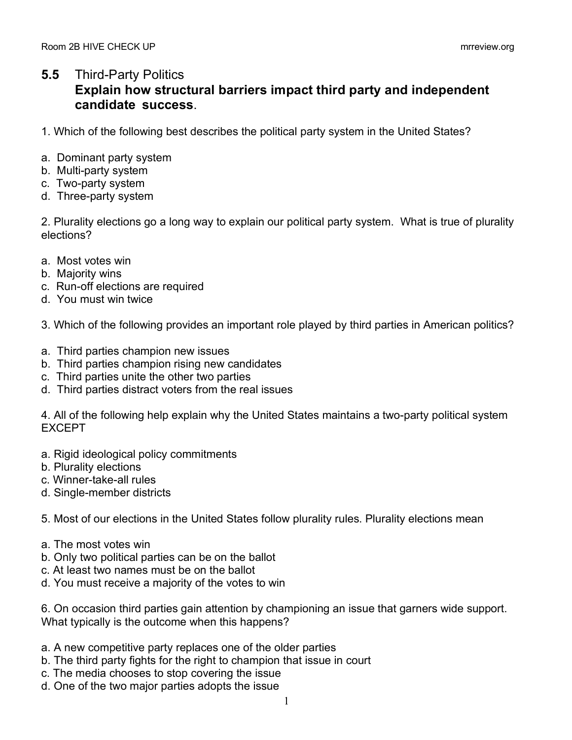## **5.5** Third-Party Politics

## **Explain how structural barriers impact third party and independent candidate success**.

1. Which of the following best describes the political party system in the United States?

- a. Dominant party system
- b. Multi-party system
- c. Two-party system
- d. Three-party system

2. Plurality elections go a long way to explain our political party system. What is true of plurality elections?

- a. Most votes win
- b. Majority wins
- c. Run-off elections are required
- d. You must win twice

3. Which of the following provides an important role played by third parties in American politics?

- a. Third parties champion new issues
- b. Third parties champion rising new candidates
- c. Third parties unite the other two parties
- d. Third parties distract voters from the real issues

4. All of the following help explain why the United States maintains a two-party political system EXCEPT

- a. Rigid ideological policy commitments
- b. Plurality elections
- c. Winner-take-all rules
- d. Single-member districts

5. Most of our elections in the United States follow plurality rules. Plurality elections mean

- a. The most votes win
- b. Only two political parties can be on the ballot
- c. At least two names must be on the ballot
- d. You must receive a majority of the votes to win

6. On occasion third parties gain attention by championing an issue that garners wide support. What typically is the outcome when this happens?

- a. A new competitive party replaces one of the older parties
- b. The third party fights for the right to champion that issue in court
- c. The media chooses to stop covering the issue
- d. One of the two major parties adopts the issue